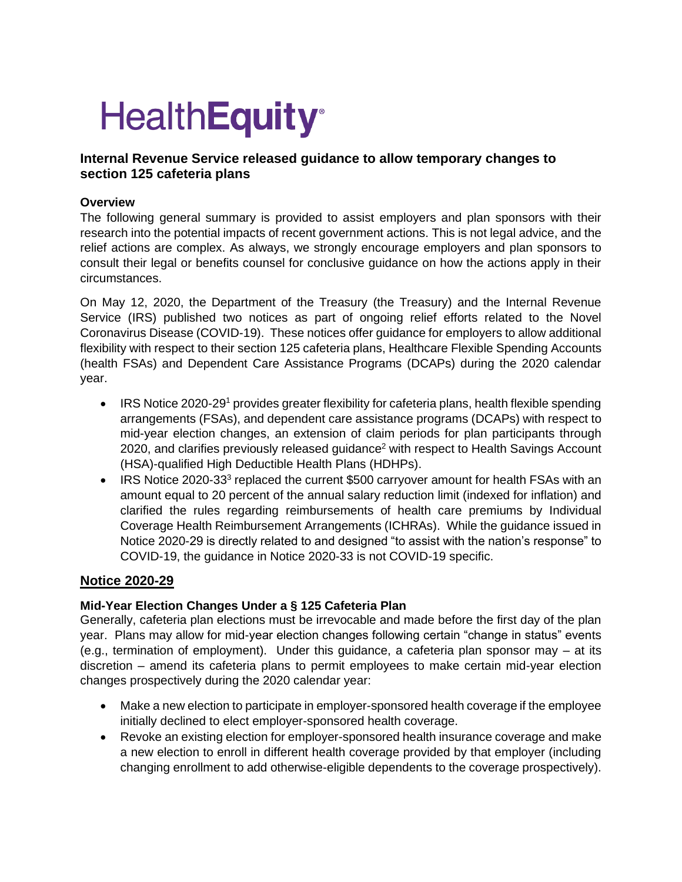# **HealthEquity®**

# **Internal Revenue Service released guidance to allow temporary changes to section 125 cafeteria plans**

## **Overview**

The following general summary is provided to assist employers and plan sponsors with their research into the potential impacts of recent government actions. This is not legal advice, and the relief actions are complex. As always, we strongly encourage employers and plan sponsors to consult their legal or benefits counsel for conclusive guidance on how the actions apply in their circumstances.

On May 12, 2020, the Department of the Treasury (the Treasury) and the Internal Revenue Service (IRS) published two notices as part of ongoing relief efforts related to the Novel Coronavirus Disease (COVID-19). These notices offer guidance for employers to allow additional flexibility with respect to their section 125 cafeteria plans, Healthcare Flexible Spending Accounts (health FSAs) and Dependent Care Assistance Programs (DCAPs) during the 2020 calendar year.

- IRS Notice 2020-29<sup>1</sup> provides greater flexibility for cafeteria plans, health flexible spending arrangements (FSAs), and dependent care assistance programs (DCAPs) with respect to mid-year election changes, an extension of claim periods for plan participants through 2020, and clarifies previously released quidance<sup>2</sup> with respect to Health Savings Account (HSA)-qualified High Deductible Health Plans (HDHPs).
- IRS Notice 2020-33<sup>3</sup> replaced the current \$500 carryover amount for health FSAs with an amount equal to 20 percent of the annual salary reduction limit (indexed for inflation) and clarified the rules regarding reimbursements of health care premiums by Individual Coverage Health Reimbursement Arrangements (ICHRAs). While the guidance issued in Notice 2020-29 is directly related to and designed "to assist with the nation's response" to COVID-19, the guidance in Notice 2020-33 is not COVID-19 specific.

# **Notice 2020-29**

# **Mid-Year Election Changes Under a § 125 Cafeteria Plan**

Generally, cafeteria plan elections must be irrevocable and made before the first day of the plan year. Plans may allow for mid-year election changes following certain "change in status" events (e.g., termination of employment). Under this guidance, a cafeteria plan sponsor may – at its discretion – amend its cafeteria plans to permit employees to make certain mid-year election changes prospectively during the 2020 calendar year:

- Make a new election to participate in employer-sponsored health coverage if the employee initially declined to elect employer-sponsored health coverage.
- Revoke an existing election for employer-sponsored health insurance coverage and make a new election to enroll in different health coverage provided by that employer (including changing enrollment to add otherwise-eligible dependents to the coverage prospectively).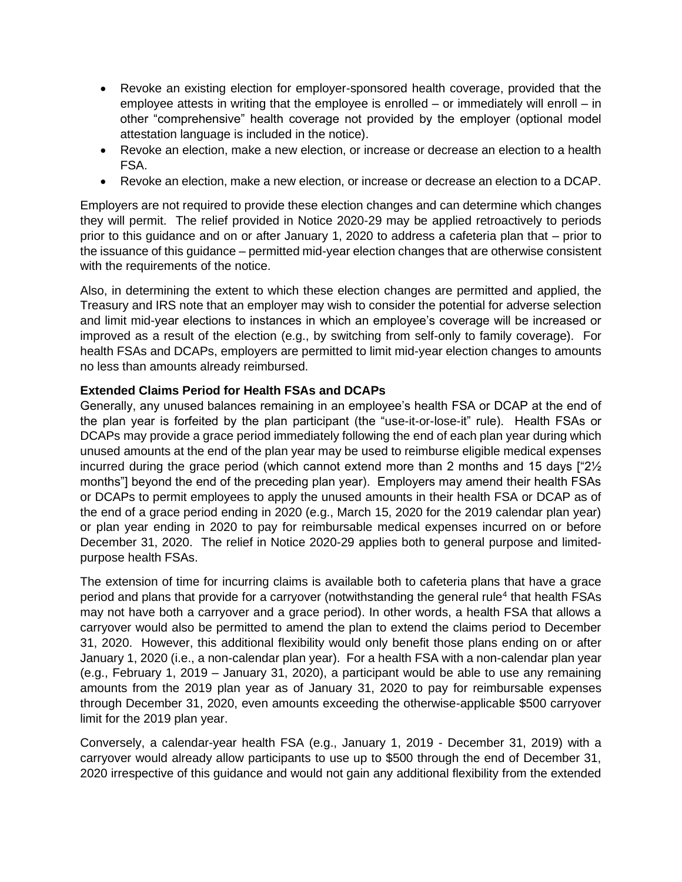- Revoke an existing election for employer-sponsored health coverage, provided that the employee attests in writing that the employee is enrolled – or immediately will enroll – in other "comprehensive" health coverage not provided by the employer (optional model attestation language is included in the notice).
- Revoke an election, make a new election, or increase or decrease an election to a health FSA.
- Revoke an election, make a new election, or increase or decrease an election to a DCAP.

Employers are not required to provide these election changes and can determine which changes they will permit. The relief provided in Notice 2020-29 may be applied retroactively to periods prior to this guidance and on or after January 1, 2020 to address a cafeteria plan that – prior to the issuance of this guidance – permitted mid-year election changes that are otherwise consistent with the requirements of the notice.

Also, in determining the extent to which these election changes are permitted and applied, the Treasury and IRS note that an employer may wish to consider the potential for adverse selection and limit mid-year elections to instances in which an employee's coverage will be increased or improved as a result of the election (e.g., by switching from self-only to family coverage). For health FSAs and DCAPs, employers are permitted to limit mid-year election changes to amounts no less than amounts already reimbursed.

### **Extended Claims Period for Health FSAs and DCAPs**

Generally, any unused balances remaining in an employee's health FSA or DCAP at the end of the plan year is forfeited by the plan participant (the "use-it-or-lose-it" rule). Health FSAs or DCAPs may provide a grace period immediately following the end of each plan year during which unused amounts at the end of the plan year may be used to reimburse eligible medical expenses incurred during the grace period (which cannot extend more than 2 months and 15 days ["2½ months"] beyond the end of the preceding plan year). Employers may amend their health FSAs or DCAPs to permit employees to apply the unused amounts in their health FSA or DCAP as of the end of a grace period ending in 2020 (e.g., March 15, 2020 for the 2019 calendar plan year) or plan year ending in 2020 to pay for reimbursable medical expenses incurred on or before December 31, 2020. The relief in Notice 2020-29 applies both to general purpose and limitedpurpose health FSAs.

The extension of time for incurring claims is available both to cafeteria plans that have a grace period and plans that provide for a carryover (notwithstanding the general rule<sup>4</sup> that health FSAs may not have both a carryover and a grace period). In other words, a health FSA that allows a carryover would also be permitted to amend the plan to extend the claims period to December 31, 2020. However, this additional flexibility would only benefit those plans ending on or after January 1, 2020 (i.e., a non-calendar plan year). For a health FSA with a non-calendar plan year (e.g., February 1, 2019 – January 31, 2020), a participant would be able to use any remaining amounts from the 2019 plan year as of January 31, 2020 to pay for reimbursable expenses through December 31, 2020, even amounts exceeding the otherwise-applicable \$500 carryover limit for the 2019 plan year.

Conversely, a calendar-year health FSA (e.g., January 1, 2019 - December 31, 2019) with a carryover would already allow participants to use up to \$500 through the end of December 31, 2020 irrespective of this guidance and would not gain any additional flexibility from the extended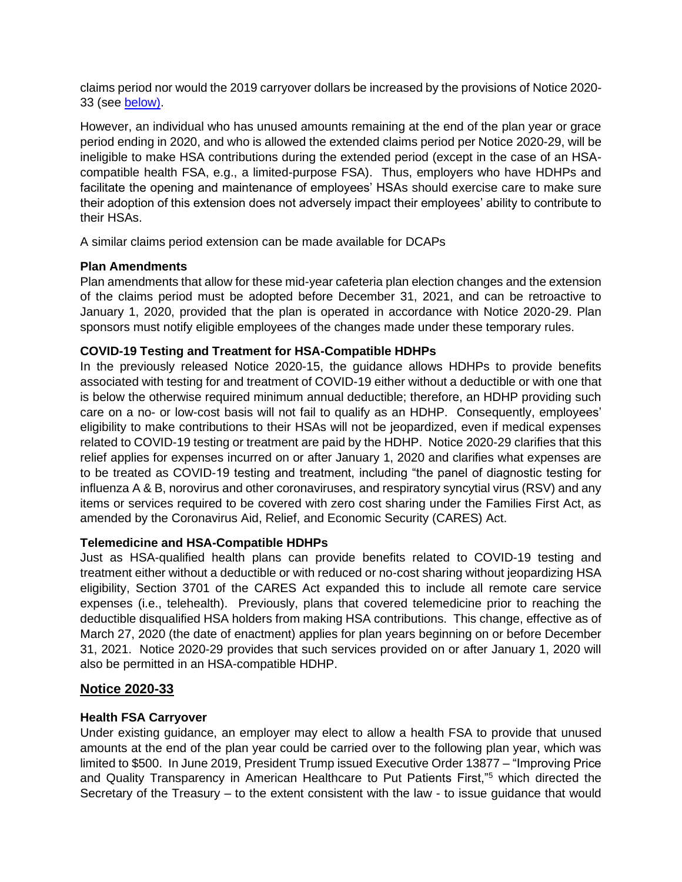claims period nor would the 2019 carryover dollars be increased by the provisions of Notice 2020- 33 (see below).

However, an individual who has unused amounts remaining at the end of the plan year or grace period ending in 2020, and who is allowed the extended claims period per Notice 2020-29, will be ineligible to make HSA contributions during the extended period (except in the case of an HSAcompatible health FSA, e.g., a limited-purpose FSA). Thus, employers who have HDHPs and facilitate the opening and maintenance of employees' HSAs should exercise care to make sure their adoption of this extension does not adversely impact their employees' ability to contribute to their HSAs.

A similar claims period extension can be made available for DCAPs

## **Plan Amendments**

Plan amendments that allow for these mid-year cafeteria plan election changes and the extension of the claims period must be adopted before December 31, 2021, and can be retroactive to January 1, 2020, provided that the plan is operated in accordance with Notice 2020-29. Plan sponsors must notify eligible employees of the changes made under these temporary rules.

## **COVID-19 Testing and Treatment for HSA-Compatible HDHPs**

In the previously released Notice 2020-15, the guidance allows HDHPs to provide benefits associated with testing for and treatment of COVID-19 either without a deductible or with one that is below the otherwise required minimum annual deductible; therefore, an HDHP providing such care on a no- or low-cost basis will not fail to qualify as an HDHP. Consequently, employees' eligibility to make contributions to their HSAs will not be jeopardized, even if medical expenses related to COVID-19 testing or treatment are paid by the HDHP. Notice 2020-29 clarifies that this relief applies for expenses incurred on or after January 1, 2020 and clarifies what expenses are to be treated as COVID-19 testing and treatment, including "the panel of diagnostic testing for influenza A & B, norovirus and other coronaviruses, and respiratory syncytial virus (RSV) and any items or services required to be covered with zero cost sharing under the Families First Act, as amended by the Coronavirus Aid, Relief, and Economic Security (CARES) Act.

### **Telemedicine and HSA-Compatible HDHPs**

Just as HSA-qualified health plans can provide benefits related to COVID-19 testing and treatment either without a deductible or with reduced or no-cost sharing without jeopardizing HSA eligibility, Section 3701 of the CARES Act expanded this to include all remote care service expenses (i.e., telehealth). Previously, plans that covered telemedicine prior to reaching the deductible disqualified HSA holders from making HSA contributions. This change, effective as of March 27, 2020 (the date of enactment) applies for plan years beginning on or before December 31, 2021. Notice 2020-29 provides that such services provided on or after January 1, 2020 will also be permitted in an HSA-compatible HDHP.

# **Notice 2020-33**

# **Health FSA Carryover**

Under existing guidance, an employer may elect to allow a health FSA to provide that unused amounts at the end of the plan year could be carried over to the following plan year, which was limited to \$500. In June 2019, President Trump issued Executive Order 13877 – "Improving Price and Quality Transparency in American Healthcare to Put Patients First,"<sup>5</sup> which directed the Secretary of the Treasury – to the extent consistent with the law - to issue guidance that would